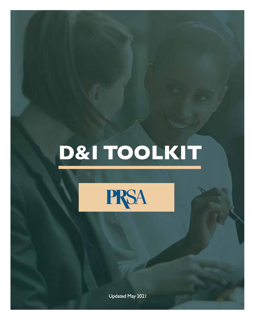# D&I TOOLKIT



Updated May 2021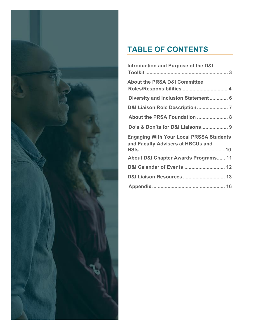

# **TABLE OF CONTENTS**

| Introduction and Purpose of the D&I                                                 |
|-------------------------------------------------------------------------------------|
| <b>About the PRSA D&amp;I Committee</b><br>Roles/Responsibilities  4                |
| Diversity and Inclusion Statement 6                                                 |
| D&I Liaison Role Description 7                                                      |
| About the PRSA Foundation  8                                                        |
| Do's & Don'ts for D&I Liaisons 9                                                    |
| <b>Engaging With Your Local PRSSA Students</b><br>and Faculty Advisers at HBCUs and |
| About D&I Chapter Awards Programs 11                                                |
| D&I Calendar of Events  12                                                          |
| <b>D&amp;I Liaison Resources  13</b>                                                |
|                                                                                     |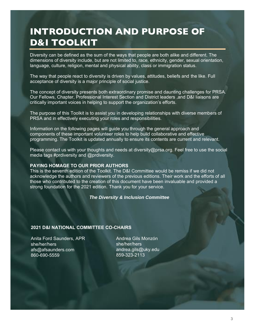# <span id="page-2-0"></span>INTRODUCTION AND PURPOSE OF D&I TOOLKIT

Diversity can be defined as the sum of the ways that people are both alike and different. The dimensions of diversity include, but are not limited to, race, ethnicity, gender, sexual orientation, language, culture, religion, mental and physical ability, class or immigration status.

The way that people react to diversity is driven by values, attitudes, beliefs and the like. Full acceptance of diversity is a major principle of social justice.

The concept of diversity presents both extraordinary promise and daunting challenges for PRSA. Our Fellows, Chapter, Professional Interest Section and District leaders ,and D&I liaisons are critically important voices in helping to support the organization's efforts.

The purpose of this Toolkit is to assist you in developing relationships with diverse members of PRSA and in effectively executing your roles and responsibilities.

Information on the following pages will guide you through the general approach and components of these important volunteer roles to help build collaborative and effective programming. The Toolkit is updated annually to ensure its contents are current and relevant.

Please contact us with your thoughts and needs at diversity@prsa.org. Feel free to use the social media tags #prdiversity and @prdiversity.

#### **PAYING HOMAGE TO OUR PRIOR AUTHORS**

This is the seventh edition of the Toolkit. The D&I Committee would be remiss if we did not acknowledge the authors and reviewers of the previous editions. Their work and the efforts of all those who contributed to the creation of this document have been invaluable and provided a strong foundation for the 2021 edition. Thank you for your service.

#### *The Diversity & Inclusion Committee*

#### **2021 D&I NATIONAL COMMITTEE CO-CHAIRS**

Anita Ford Saunders, APR she/her/hers afs@afsaunders.com 860-690-5559

Andrea Gils Monzón she/her/hers andrea.gils@uky.edu 859-323-2113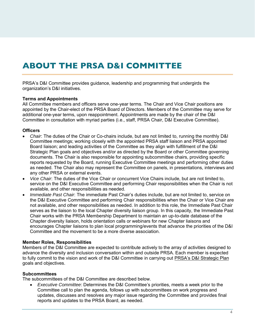### <span id="page-3-0"></span>ABOUT THE PRSA D&I COMMITTEE

PRSA's D&I Committee provides guidance, leadership and programming that undergirds the organization's D&I initiatives.

#### **Terms and Appointments**

All Committee members and officers serve one-year terms. The Chair and Vice Chair positions are appointed by the Chair-elect of the PRSA Board of Directors. Members of the Committee may serve for additional one-year terms, upon reappointment. Appointments are made by the chair of the D&I Committee in consultation with myriad parties (i.e., staff, PRSA Chair, D&I Executive Committee).

#### **Officers**

- *Chair*: The duties of the Chair or Co-chairs include, but are not limited to, running the monthly D&I Committee meetings; working closely with the appointed PRSA staff liaison and PRSA appointed Board liaison; and leading activities of the Committee as they align with fulfillment of the D&I Strategic Plan goals and objectives and/or as directed by the Board or other Committee governing documents. The Chair is also responsible for appointing subcommittee chairs, providing specific reports requested by the Board, running Executive Committee meetings and performing other duties as needed. The Chair also may represent the Committee on panels, in presentations, interviews and any other PRSA or external events.
- *Vice Chair*: The duties of the Vice Chair or concurrent Vice Chairs include, but are not limited to, service on the D&I Executive Committee and performing Chair responsibilities when the Chair is not available, and other responsibilities as needed.
- *Immediate Past Chair*: The immediate Past Chair's duties include, but are not limited to, service on the D&I Executive Committee and performing Chair responsibilities when the Chair or Vice Chair are not available, and other responsibilities as needed. In addition to this role, the Immediate Past Chair serves as the liaison to the local Chapter diversity liaison group. In this capacity, the Immediate Past Chair works with the PRSA Membership Department to maintain an up-to-date database of the Chapter diversity liaison, holds orientation calls or webinars for new Chapter liaisons and encourages Chapter liaisons to plan local programming/events that advance the priorities of the D&I Committee and the movement to be a more diverse association.

#### **Member Roles, Responsibilities**

Members of the D&I Committee are expected to contribute actively to the array of activities designed to advance the diversity and inclusion conversation within and outside PRSA. Each member is expected to fully commit to the vision and work of the D&I Committee in carrying out P[RSA's D&I Strategic](https://www.prsa.org/docs/default-source/about/diversity/d-i-strategic-plan-20-22.pdf?sfvrsn=e259e47b_0) Plan [goals](https://www.prsa.org/docs/default-source/about/diversity/d-i-strategic-plan-20-22.pdf?sfvrsn=e259e47b_0) and objectives.

### **Subcommittees**

The subcommittees of the D&I Committee are described below.

• *Executive Committee*: Determines the D&I Committee's priorities, meets a week prior to the Committee call to plan the agenda, follows up with subcommittees on work progress and updates, discusses and resolves any major issue regarding the Committee and provides final reports and updates to the PRSA Board, as needed.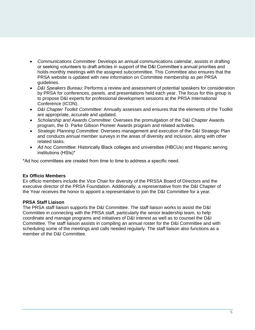- *Communications Committee*: Develops an annual communications calendar, assists in drafting or seeking volunteers to draft articles in support of the D&I Committee's annual priorities and holds monthly meetings with the assigned subcommittee. This Committee also ensures that the PRSA website is updated with new information on Committee membership as per PRSA guidelines.
- *D&I Speakers Bureau*: Performs a review and assessment of potential speakers for consideration by PRSA for conferences, panels, and presentations held each year. The focus for this group is to propose D&I experts for professional development sessions at the PRSA International Conference (ICON).
- *D&I Chapter Toolkit Committee*: Annually assesses and ensures that the elements of the Toolkit are appropriate, accurate and updated.
- *Scholarship and Awards Committee*: Oversees the promulgation of the D&I Chapter Awards program, the D. Parke Gibson Pioneer Awards program and related activities.
- *Strategic Planning Committe*e: Oversees management and execution of the D&I Strategic Plan and conducts annual member surveys in the areas of diversity and inclusion, along with other related tasks.
- *Ad hoc Committee*: Historically Black colleges and universities (HBCUs) and Hispanic serving institutions (HSIs)\*

\*Ad hoc committees are created from time to time to address a specific need.

### **Ex Officio Members**

Ex officio members include the Vice Chair for diversity of the PRSSA Board of Directors and the executive director of the PRSA Foundation. Additionally, a representative from the D&I Chapter of the Year receives the honor to appoint a representative to join the D&I Committee for a year.

### **PRSA Staff Liaison**

The PRSA staff liaison supports the D&I Committee. The staff liaison works to assist the D&I Committee in connecting with the PRSA staff, particularly the senior leadership team, to help coordinate and manage programs and initiatives of D&I interest as well as to counsel the D&I Committee. The staff liaison assists in compiling an annual roster for the D&I Committee and with scheduling some of the meetings and calls needed regularly. The staff liaison also functions as a member of the D&I Committee.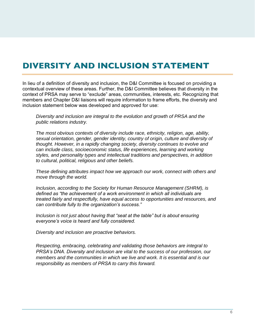### <span id="page-5-0"></span>DIVERSITY AND INCLUSION STATEMENT

In lieu of a definition of diversity and inclusion, the D&I Committee is focused on providing a contextual overview of these areas. Further, the D&I Committee believes that diversity in the context of PRSA may serve to "exclude" areas, communities, interests, etc. Recognizing that members and Chapter D&I liaisons will require information to frame efforts, the diversity and inclusion statement below was developed and approved for use:

*Diversity and inclusion are integral to the evolution and growth of PRSA and the public relations industry.* 

*The most obvious contexts of diversity include race, ethnicity, religion, age, ability, sexual orientation, gender, gender identity, country of origin, culture and diversity of thought. However, in a rapidly changing society, diversity continues to evolve and can include class, socioeconomic status, life experiences, learning and working styles, and personality types and intellectual traditions and perspectives, in addition to cultural, political, religious and other beliefs.* 

*These defining attributes impact how we approach our work, connect with others and move through the world.* 

*Inclusion, according to the Society for Human Resource Management (SHRM), is defined as "the achievement of a work environment in which all individuals are treated fairly and respectfully, have equal access to opportunities and resources, and can contribute fully to the organization's success."* 

*Inclusion is not just about having that "seat at the table" but is about ensuring everyone's voice is heard and fully considered.* 

*Diversity and inclusion are proactive behaviors.* 

*Respecting, embracing, celebrating and validating those behaviors are integral to PRSA's DNA. Diversity and inclusion are vital to the success of our profession, our members and the communities in which we live and work. It is essential and is our responsibility as members of PRSA to carry this forward.*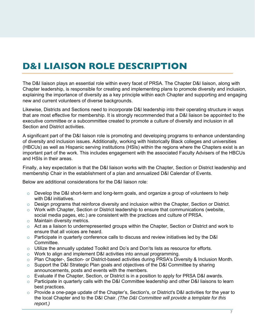# <span id="page-6-0"></span>D&I LIAISON ROLE DESCRIPTION

The D&I liaison plays an essential role within every facet of PRSA. The Chapter D&I liaison, along with Chapter leadership, is responsible for creating and implementing plans to promote diversity and inclusion, explaining the importance of diversity as a key principle within each Chapter and supporting and engaging new and current volunteers of diverse backgrounds.

Likewise, Districts and Sections need to incorporate D&I leadership into their operating structure in ways that are most effective for membership. It is strongly recommended that a D&I liaison be appointed to the executive committee or a subcommittee created to promote a culture of diversity and inclusion in all Section and District activities.

A significant part of the D&I liaison role is promoting and developing programs to enhance understanding of diversity and inclusion issues. Additionally, working with historically Black colleges and universities (HBCUs) as well as Hispanic serving institutions (HSIs) within the regions where the Chapters exist is an important part of the work. This includes engagement with the associated Faculty Advisers of the HBCUs and HSIs in their areas.

Finally, a key expectation is that the D&I liaison works with the Chapter, Section or District leadership and membership Chair in the establishment of a plan and annualized D&I Calendar of Events.

Below are additional considerations for the D&I liaison role:

- $\circ$  Develop the D&I short-term and long-term goals, and organize a group of volunteers to help with D&I initiatives.
- o Design programs that reinforce diversity and inclusion within the Chapter, Section or District.
- $\circ$  Work with Chapter, Section or District leadership to ensure that communications (website, social media pages, etc.) are consistent with the practices and culture of PRSA.
- o Maintain diversity metrics.
- $\circ$  Act as a liaison to underrepresented groups within the Chapter, Section or District and work to ensure that all voices are heard.
- $\circ$  Participate in quarterly conference calls to discuss and review initiatives led by the D&I Committee.
- $\circ$  Utilize the annually updated Toolkit and Do's and Don'ts lists as resource for efforts.
- o Work to align and implement D&I activities into annual programming.
- o Plan Chapter-, Section- or District-based activities during PRSA's Diversity & Inclusion Month.
- $\circ$  Support the D&I Strategic Plan goals and objectives of the D&I Committee by sharing announcements, posts and events with the members.
- $\circ$  Evaluate if the Chapter, Section, or District is in a position to apply for PRSA D&I awards.
- $\circ$  Participate in quarterly calls with the D&I Committee leadership and other D&I liaisons to learn best practices.
- $\circ$  Provide a one-page update of the Chapter's, Section's, or District's D&I activities for the year to the local Chapter and to the D&I Chair. *(The D&I Committee will provide a template for this report.)*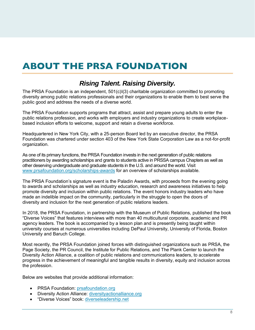# <span id="page-7-0"></span>ABOUT THE PRSA FOUNDATION

### *Rising Talent. Raising Diversity.*

The PRSA Foundation is an independent, 501(c)I(3) charitable organization committed to promoting diversity among public relations professionals and their organizations to enable them to best serve the public good and address the needs of a diverse world.

The PRSA Foundation supports programs that attract, assist and prepare young adults to enter the public relations profession, and works with employers and industry organizations to create workplacebased inclusion efforts to welcome, support and retain a diverse workforce.

Headquartered in New York City, with a 25-person Board led by an executive director, the PRSA Foundation was chartered under section 403 of the New York State Corporation Law as a not-for-profit organization.

As one of its primary functions, the PRSA Foundation invests in the next generation of public relations practitioners by awarding scholarships and grants to students active in PRSSA campus Chapters as well as other deserving undergraduate and graduate students in the U.S. and around the world. Visit [www.prsafoundation.org/scholarships-awards](https://www.prsafoundation.org/scholarships-awards/) for an overview of scholarships available.

The PRSA Foundation's signature event is the Paladin Awards, with proceeds from the evening going to awards and scholarships as well as industry education, research and awareness initiatives to help promote diversity and inclusion within public relations. The event honors industry leaders who have made an indelible impact on the community, particularly in the struggle to open the doors of diversity and inclusion for the next generation of public relations leaders.

In 2018, the PRSA Foundation, in partnership with the Museum of Public Relations*,* published the book "Diverse Voices" that features interviews with more than 40 multicultural corporate, academic and PR agency leaders. The book is accompanied by a lesson plan and is presently being taught within university courses at numerous universities including DePaul University, University of Florida, Boston University and Baruch College.

Most recently, the PRSA Foundation joined forces with distinguished organizations such as PRSA, the Page Society, the PR Council, the Institute for Public Relations, and The Plank Center to launch the Diversity Action Alliance, a coalition of public relations and communications leaders, to accelerate progress in the achievement of meaningful and tangible results in diversity, equity and inclusion across the profession.

Below are websites that pr[ovide additional information:](mailto:susan.belanich@prsafoundation.com)

- PRSA Foundation: prsafoundation.org
- Diversity Action All[iance: diversityactionallian](http://www.prsafoundation.org/)ce.org
- "Diverse Voices" book: [d](http://www.diverseleadership.net/)[iverseleadership.net](http://www.diversityactionalliance.org/)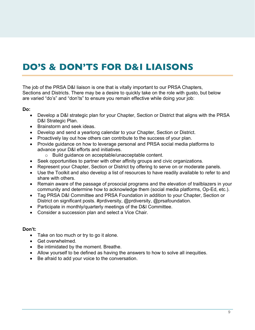# <span id="page-8-0"></span>DO'S & DON'TS FOR D&I LIAISONS

The job of the PRSA D&I liaison is one that is vitally important to our PRSA Chapters, Sections and Districts. There may be a desire to quickly take on the role with gusto, but below are varied "do's" and "don'ts" to ensure you remain effective while doing your job:

### **Do:**

- Develop a D&I strategic plan for your Chapter, Section or District that aligns with the PRSA D&I Strategic Plan.
- Brainstorm and seek ideas.
- Develop and send a yearlong calendar to your Chapter, Section or District.
- Proactively lay out how others can contribute to the success of your plan.
- Provide guidance on how to leverage personal and PRSA social media platforms to advance your D&I efforts and initiatives.
	- o Build guidance on acceptable/unacceptable content.
- Seek opportunities to partner with other affinity groups and civic organizations.
- Represent your Chapter, Section or District by offering to serve on or moderate panels.
- Use the Toolkit and also develop a list of resources to have readily available to refer to and share with others.
- Remain aware of the passage of prosocial programs and the elevation of trailblazers in your community and determine how to acknowledge them (social media platforms, Op-Ed, etc.).
- Tag PRSA D&I Committee and PRSA Foundation in addition to your Chapter, Section or District on significant posts. #prdiversity, @prdiversity, @prsafoundation.
- Participate in monthly/quarterly meetings of the D&I Committee.
- Consider a succession plan and select a Vice Chair.

### **Don't:**

- Take on too much or try to go it alone.
- Get overwhelmed.
- Be intimidated by the moment. Breathe.
- Allow yourself to be defined as having the answers to how to solve all inequities.
- Be afraid to add your voice to the conversation.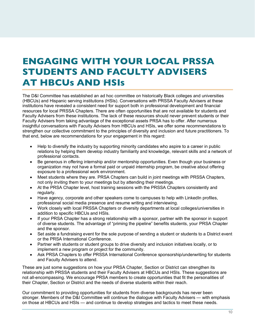### <span id="page-9-0"></span>ENGAGING WITH YOUR LOCAL PRSSA STUDENTS AND FACULTY ADVISERS AT HBCUs AND HSIs

The D&I Committee has established an ad hoc committee on historically Black colleges and universities (HBCUs) and Hispanic serving institutions (HSIs). Conversations with PRSSA Faculty Advisers at these institutions have revealed a consistent need for support both in professional development and financial resources for local PRSSA Chapters. There are often opportunities that are not available for students and Faculty Advisers from these institutions. The lack of these resources should never prevent students or their Faculty Advisers from taking advantage of the exceptional assets PRSA has to offer. After numerous insightful conversations with Faculty Advisers from HBCUs and HSIs, we offer some recommendations to strengthen our collective commitment to the principles of diversity and inclusion and future practitioners. To that end, below are recommendations for your engagement in this regard:

- Help to diversify the industry by supporting minority candidates who aspire to a career in public relations by helping them develop industry familiarity and knowledge, relevant skills and a network of professional contacts.
- Be generous in offering internship and/or mentorship opportunities. Even though your business or organization may not have a formal paid or unpaid internship program, be creative about offering exposure to a professional work environment.
- Meet students where they are. PRSA Chapters can build in joint meetings with PRSSA Chapters, not only inviting them to your meetings but by attending their meetings.
- At the PRSA Chapter level, host training sessions with the PRSSA Chapters consistently and regularly.
- Have agency, corporate and other speakers come to campuses to help with LinkedIn profiles, professional social media presence and resume writing and interviewing.
- Work closely with local PRSSA Chapters or diversity departments at local colleges/universities in addition to specific HBCUs and HSIs.
- If your PRSA Chapter has a strong relationship with a sponsor, partner with the sponsor in support of diverse students. The advantage of "priming the pipeline" benefits students, your PRSA Chapter and the sponsor.
- Set aside a fundraising event for the sole purpose of sending a student or students to a District event or the PRSA International Conference.
- Partner with students or student groups to drive diversity and inclusion initiatives locally, or to implement a new program or project for the community.
- Ask PRSA Chapters to offer PRSSA International Conference sponsorship/underwriting for students and Faculty Advisers to attend.

These are just some suggestions on how your PRSA Chapter, Section or District can strengthen its relationship with PRSSA students and their Faculty Advisers at HBCUs and HSIs. These suggestions are not all-encompassing. We encourage PRSA members to create opportunities that fit the personalities of their Chapter, Section or District and the needs of diverse students within their reach.

Our commitment to providing opportunities for students from diverse backgrounds has never been stronger. Members of the D&I Committee will continue the dialogue with Faculty Advisers — with emphasis on those at HBCUs and HSIs — and continue to develop strategies and tactics to meet these needs.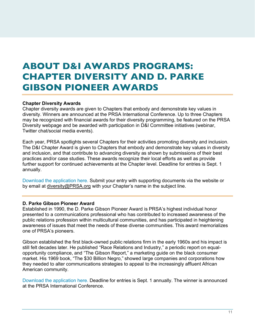### <span id="page-10-0"></span>ABOUT D&I AWARDS PROGRAMS: CHAPTER DIVERSITY AND D. PARKE GIBSON PIONEER AWARDS

### **Chapter Diversity Awards**

Chapter diversity awards are given to Chapters that embody and demonstrate key values in diversity. Winners are announced at the PRSA International Conference. Up to three Chapters may be recognized with financial awards for their diversity programming, be featured on the PRSA Diversity webpage and be awarded with participation in D&I Committee initiatives (webinar, Twitter chat/social media events).

Each year, PRSA spotlights several Chapters for their activities promoting diversity and inclusion. The D&I Chapter Award is given to Chapters that embody and demonstrate key values in diversity and inclusion, and that contribute to advancing diversity as shown by submissions of their best practices and/or case studies. These awards recognize their local efforts as well as provide further support for continued achievements at the Chapter level. Deadline for entries is Sept. 1 [annually.](https://prssa.submittable.com/submit/155996/prsa-chapter-diversity-and-inclusion-award) 

[Download the application here.](https://prssa.submittable.com/submit) Submit your entry with supporting documents via the website or by email at [diversity@PRSA.org](mailto:diversity@PRSA.org) with your Chapter's name in the subject line.

### **D. Parke Gibson Pioneer Award**

Establ[ished in 1990, the D. Parke Gibson Pioneer Award is](https://www.prsa.org/docs/default-source/about/diversity/wisconsinse-2019.pdf?sfvrsn=819ee84_0) PRSA's highest individual honor [presented to a comm](https://www.prsa.org/docs/default-source/about/diversity/wisconsinse-2019.pdf?sfvrsn=819ee84_0)unications professional who has contributed to increased awareness of the public relations profession within multicultural communities, and has participated in heightening aware[ness of issues that meet the needs of these diverse communities. This award memorializes](https://www.prsa.org/docs/default-source/about/diversity/orangecounty-2019.pdf?sfvrsn=6b5d1f80_0) [one of PRSA's pioneers.](https://www.prsa.org/docs/default-source/about/diversity/orangecounty-2019.pdf?sfvrsn=6b5d1f80_0)

Gibs[on established the first black-owned public relations firm in the early 1960s and his impact](https://www.prsa.org/docs/default-source/about/diversity/houston-2019.pdf?sfvrsn=4d7a1b2e_0) is still felt decades later. He published "Race Relations and Industry," a periodic report on equalopportunity compliance, and "The Gibson Report," a marketing guide on the black consumer market. His 1969 book, "The \$30 Billion Negro," showed large companies and corporations how they needed to alter communications strategies to appeal to the increasingly affluent African American community.

[Download the application here.](https://www.prsa.org/conferences-and-awards/awards/individual-awards/parke-gibson-award) Deadline for entries is Sept. 1 annually. The winner is announced at the PRSA International Conference.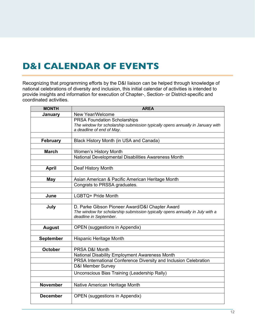### <span id="page-11-0"></span>D&I CALENDAR OF EVENTS

Recognizing that programming efforts by the D&I liaison can be helped through knowledge of national celebrations of diversity and inclusion, this initial calendar of activities is intended to provide insights and information for execution of Chapter-, Section- or District-specific and coordinated activities.

| <b>MONTH</b>     | <b>AREA</b>                                                                    |  |  |  |
|------------------|--------------------------------------------------------------------------------|--|--|--|
| January          | New Year/Welcome                                                               |  |  |  |
|                  | <b>PRSA Foundation Scholarships</b>                                            |  |  |  |
|                  | The window for scholarship submission typically opens annually in January with |  |  |  |
|                  | a deadline of end of May.                                                      |  |  |  |
|                  |                                                                                |  |  |  |
| <b>February</b>  | Black History Month (in USA and Canada)                                        |  |  |  |
| <b>March</b>     | Women's History Month                                                          |  |  |  |
|                  | National Developmental Disabilities Awareness Month                            |  |  |  |
|                  |                                                                                |  |  |  |
| <b>April</b>     | Deaf History Month                                                             |  |  |  |
|                  |                                                                                |  |  |  |
| <b>May</b>       | Asian American & Pacific American Heritage Month                               |  |  |  |
|                  | Congrats to PRSSA graduates.                                                   |  |  |  |
|                  |                                                                                |  |  |  |
| June             | LGBTQ+ Pride Month                                                             |  |  |  |
|                  |                                                                                |  |  |  |
| July             | D. Parke Gibson Pioneer Award/D&I Chapter Award                                |  |  |  |
|                  | The window for scholarship submission typically opens annually in July with a  |  |  |  |
|                  | deadline in September.                                                         |  |  |  |
| <b>August</b>    | <b>OPEN</b> (suggestions in Appendix)                                          |  |  |  |
|                  |                                                                                |  |  |  |
| <b>September</b> | Hispanic Heritage Month                                                        |  |  |  |
|                  |                                                                                |  |  |  |
| <b>October</b>   | PRSA D&I Month                                                                 |  |  |  |
|                  | National Disability Employment Awareness Month                                 |  |  |  |
|                  | PRSA International Conference Diversity and Inclusion Celebration              |  |  |  |
|                  | <b>D&amp;I Member Survey</b>                                                   |  |  |  |
|                  | Unconscious Bias Training (Leadership Rally)                                   |  |  |  |
|                  |                                                                                |  |  |  |
| <b>November</b>  | Native American Heritage Month                                                 |  |  |  |
|                  |                                                                                |  |  |  |
| <b>December</b>  | <b>OPEN</b> (suggestions in Appendix)                                          |  |  |  |
|                  |                                                                                |  |  |  |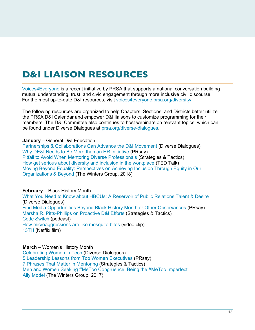# <span id="page-12-0"></span>D&I LIAISON RESOURCES

[Voices4Everyone](https://voices4everyone.prsa.org/) is a recent initiative by PRSA that supports a national conversation building mutual understanding, trust, and civic engagement through more inclusive civil discourse. For the most up-to-date D&I resources, visit [voices4everyone.prsa.org/diversity/.](https://voices4everyone.prsa.org/diversity/)

The following resources are organized to help Chapters, Sections, and Districts better utilize the PRSA D&I Calendar and empower D&I liaisons to customize programming for their members. The D&I Committee also continues to host webinars on relevant topics, which can be found under Diverse Dialogues at [prsa.org/diverse-dialogues](https://www.prsa.org/diverse-dialogues).

### **January** – General D&I Education

[Partnerships & Collaborations Can Advance](https://www.prsa.org/diverse-dialogues?jwsource=cl) the D&I Movement (Diverse Dialogues) [Why DE&I Needs to Be More than an HR Initiative](https://prsay.prsa.org/2021/03/31/why-dei-needs-to-be-more-than-an-hr-initiative/) (PRsay) [Pitfall to Avoid When Mentoring Diverse Professionals](https://mydigitalpublication.com/publication/?m=53580&i=695354&p=10) (Strategies & Tactics) [How get serious about diversity and inclusion in the workplace](https://www.ted.com/talks/janet_stovall_how_to_get_serious_about_diversity_and_inclusion_in_the_workplace/footnotes?referrer=playlist-work_smarter) (TED Talk) [Moving Beyond Equality: Perspectives on Achieving Inclusion Through Equity in Our](https://www.wintersgroup.com/wp-content/uploads/2019/07/MovingBeyondEquality.pdf) Organizations & Beyond (The Winters Group, 2018)

### **February** – Black History Month

[What You Need to Know about HBCUs: A Reservoir of Public Relations](https://www.prsa.org/diverse-dialogues?jwsource=cl) Talent & Desire (Diverse Dialogues) [Find Media Opportunities Beyond Black History Month or Other Observances](https://prsay.prsa.org/2021/02/08/find-media-opportunities-beyond-black-history-month-or-other-observances/) (PRsay) [Marsha R. Pitts-Phillips on Proactive D&I Efforts](https://mydigitalpublication.com/publication/?m=53580&i=666516&p=26) (Strategies & Tactics) [Code Switch](https://www.npr.org/podcasts/510312/codeswitch) (podcast) [How microaggressions](https://www.youtube.com/watch?v=hDd3bzA7450) are like mosquito bites (video clip) [13TH](https://youtu.be/krfcq5pF8u8) (Netflix film)

#### **March** – Women's History Month

[Celebrating Women in Tech](https://www.prsa.org/diverse-dialogues) (Diverse Dialogues) 5 Leadership Lessons from Top Women Executives (PRsay) [7 Phrases That Matter in Mentoring](https://mydigitalpublication.com/publication/?m=53580&i=684684&p=24) (Strategies & Tactics) [Men and Women Seeking #MeToo Congruence: Being the #MeToo Imperfect](https://www.wintersgroup.com/wp-content/uploads/2019/07/TWG-MtM_Being-the-MeToo-Imperfect-Ally-Model-1-1.pdf) Ally Model (The Winters Group, 2017)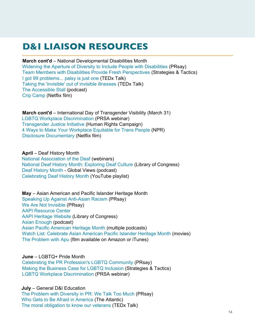### D&I LIAISON RESOURCES

### **March cont'd** – National Developmental Disabilities Month

[Widening the Aperture of Diversity to Include People with Disabilities](https://prsay.prsa.org/2020/10/23/widening-the-aperture-of-diversity-to-include-people-with-disabilities/) (PRsay) [Team Members with Disabilities Provide Fresh Perspectives](https://mydigitalpublication.com/publication/?m=53580&i=701478&p=6) (Strategies & Tactics) [I got 99 problems... palsy is just one](https://www.youtube.com/watch?v=buRLc2eWGPQ) (TEDx Talk) [Taking the 'invisible' out of invisible illnesses](https://www.youtube.com/watch?v=MxdRUh5C3Cs) (TEDx Talk) [The Accessible Stall](https://www.theaccessiblestall.com/) (podcast) [Crip Camp](https://www.youtube.com/watch?v=XRrIs22plz0) (Netflix film)

**March cont'd** – International Day of Transgender Visibility (March 31) [LGBTQ Workplace Discrimination](https://jwp.io/s/lmgdWjJp) (PRSA webinar) [Transgender Justice Initiative](https://www.hrc.org/campaigns/transgender-justice-initiative) (Human Rights Campaign) [4 Ways to Make Your Workplace Equitable for Trans People](https://www.npr.org/2020/06/02/867780063/4-ways-to-make-your-workplace-equitable-for-trans-people?fbclid=IwAR1AHwbPGEn6Vdt1CE_hpgNTfPrG8R1obTJenPyHpWAcnyzqBCaEQ8mAX38) (NPR) [Disclosure Documentary](https://www.youtube.com/watch?v=2eF4m5AJhpA) (Netflix film)

**April** – Deaf History Month [National Association of the Deaf](https://www.nad.org/resources/webinars/) (webinars) [National Deaf History Month: Exploring Deaf Culture](https://blogs.loc.gov/teachers/2013/03/national-deaf-history-month-exploring-deaf-culture-with-library-of-congress-primary-sources/?loclr=blogpic) (Library of Congress) [Deaf History Month](https://podcasts.google.com/feed/aHR0cHM6Ly9hbmNob3IuZm0vcy8yYWMwMDMzMC9wb2RjYXN0L3Jzcw/episode/MmZjOWZkMDctNTg1My00MjM1LTljMDYtYmQ1OTlmYjEzMTZh?hl=en&ved=2ahUKEwjr5q-b3ZzwAhV1MlkFHYq0AsEQjrkEegQIAxAL&ep=6) - Global Views (podcast) [Celebrating Deaf History Month](https://www.youtube.com/playlist?list=PLbpi6ZahtOH7x5cfMx4WE7oCQERxpXSvO) (YouTube playlist)

**May** – Asian American and Pacific Islander Heritage Month [Speaking Up Against Anti-Asian Racism](https://prsay.prsa.org/2021/03/22/speaking-up-against-anti-asian-racism/) (PRsay) [We Are Not Invisible](https://prsay.prsa.org/2021/04/07/we-are-not-invisible/) (PRsay) [AAPI Resource Center](https://fapac.org/AAPI-Resources) [AAPI Heritage Website](https://asianpacificheritage.gov/) (Library of Congress) [Asian Enough](https://podcasts.apple.com/us/podcast/asian-enough/id1501446978) (podcast) [Asian Pacific American Heritage Month](https://www.cbsnews.com/news/asian-pacific-american-heritage-month/) (multiple podcasts) [Watch List: Celebrate Asian American Pacific Islander Heritage Month](https://www.pbs.org/articles/2019/05/watch-list-films-that-celebrate-asian-american-pacific-islander-heritage-month/) (movies) [The Problem with Apu](https://www.youtube.com/watch?v=VmLK84a0rDk) (film available on Amazon or iTunes)

**June** – LGBTQ+ Pride Month

[Celebrating the PR Profession's LGBTQ Community](https://prsay.prsa.org/2020/06/29/celebrating-the-pr-professions-lgbtq-community/) (PRsay) [Making the Business Case for LGBTQ Inclusion](https://www.prsa.org/article/making-the-business-case-for-lgbtq-inclusion) (Strategies & Tactics) [LGBTQ Workplace Discrimination](https://jwp.io/s/lmgdWjJp) (PRSA webinar)

**July** – General D&I Education [The Problem with Diversity in PR: We Talk Too Much](https://prsay.prsa.org/2015/02/19/the-problem-with-diversity-in-pr-we-talk-too-much/) (PRsay) [Who Gets to Be Afraid in America](https://www.theatlantic.com/ideas/archive/2020/05/ahmaud-arbery/611539/) (The Atlantic) [The moral obligation to know our veterans](https://www.youtube.com/watch?v=oSWhIUiGang) (TEDx Talk)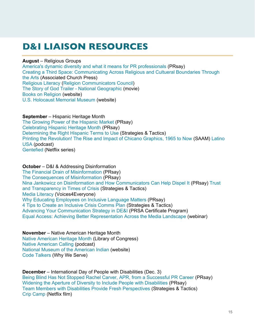### D&I LIAISON RESOURCES

### **August** – Religious Groups

[America's dynamic diversity and what it means for P](https://prsay.prsa.org/2015/02/19/the-problem-with-diversity-in-pr-we-talk-too-much/)[R professionals](https://prsay.prsa.org/2015/08/28/americas-dynamic-diversity-and-what-it-means-for-pr-professionals/) (PRsay) [Creating a Third Space: Commun](https://www.theatlantic.com/ideas/archive/2020/05/ahmaud-arbery/611539/)[icating Across Religious and Cultueral Boundaries Through](https://www.youtube.com/watch?v=oSWhIUiGang) the Arts (Associated Church Press) [Religious Literacy](https://podcasts.apple.com/us/podcast/intersectionality-matters/id1441348908) [\(Religion Communicators Council](https://religioncommunicators.org/)) [The Story of God Trailer - National Geographic](https://www.youtube.com/watch?v=X0aIuL_f6Xg) (movie) [Books on Religion](https://fivebooks.com/category/religion/) (website) [U.S. Holocaust Memorial Museum](https://www.ushmm.org/) (website)

### **September** – Hispanic Heritage Month

[The Growing Power of the Hispanic Market](https://prsay.prsa.org/2020/11/20/the-growing-power-of-the-hispanic-market/) (PRsay) [Celebrating Hispanic Heritage Month](https://www.prsa.org/article/celebrating-hispanic-heritage-month) (PRsay) [Determining the Right Hispanic Terms to Use](https://mydigitalpublication.com/publication/?i=684684&article_id=3824825&view=articleBrowser&ver=html5) (Strategies & Tactics) [Printing the Revolution! The Rise and Impact of Chicano Graphics, 1965 to No](https://americanart.si.edu/exhibitions/chicano-graphics)[w](https://www.latinousa.org/) (SAAM) Latino USA (podcast) [Gentefied](https://www.netflix.com/title/80198208) (Netflix series)

### **October** – D&I & Addressing Disinformation

[The Financial Drain of Misinformation](http://prsay.prsa.org/2021/04/22/the-financial-drain-of-misinformation/) (PRsay) [The Consequences of Misinformation](http://prsay.prsa.org/2021/03/19/the-consequences-of-misinformation/) (PRsay) [Nina Jankowicz on Disinformation and How Communicators Can Help Dispel It](https://www.prsa.org/article/trust-and-transparency-in-times-of-crisis) (PRsay) Trust and Transparency in Times of Crisis (Strategies & Tactics) [Media Literacy](https://voices4everyone.prsa.org/disinformation/disinformation-literacy/) (Voices4Everyone) [Why Educating Employees on Inclusive Language Matters](https://prsay.prsa.org/2021/04/26/why-educating-employees-on-inclusive-language-matters/) (PRsay) [4 Tips to Create an Inclusive Crisis Comms Plan](https://www.prsa.org/article/4-tips-to-develop-an-inclusive-crisis-comms-plan) (Strategies & Tactics) [Advancing Your Communication Strategy in DE&I](https://www.prsa.org/professional-development/diversity-inclusion-certificate-program) (PRSA Certificate Program) [Equal Access: Achieving Better Representation Across the Media Landscape](https://www.prsa.org/diverse-dialogues) (webinar)

### **November** – Native American Heritage Month

[Native American Heritage Month](https://nativeamericanheritagemonth.gov/) (Library of Congress) [Native American Calling](https://www.nv1.org/podcasts/native-america-calling/) (podcast) [National Museum of the American Indian](https://americanindian.si.edu/) (website) [Code Talkers](https://americanindian.si.edu/why-we-serve/topics/code-talkers/) (Why We Serve)

**December** – International Day of People with Disabilities (Dec. 3) [Being Blind Has Not Stopped Rachel Carver, APR, from a Successful PR Career](https://prsay.prsa.org/2020/10/30/being-blind-has-not-stopped-rachel-carver-apr-from-a-successful-pr-career/) (PRsay) [Widening the Aperture of Diversity to Include People with Disabilities](https://prsay.prsa.org/2020/10/23/widening-the-aperture-of-diversity-to-include-people-with-disabilities/) (PRsay) [Team Members with Disabilities Provide Fresh Perspectives](https://mydigitalpublication.com/display_article.php?id=3987745&view=701478) (Strategies & Tactics) [Crip Camp](https://www.youtube.com/watch?v=XRrIs22plz0) (Netflix film)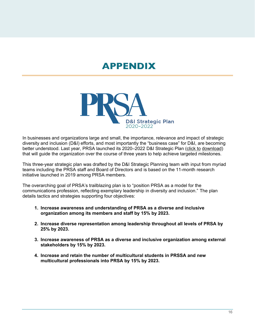### APPENDIX



In businesses and organizations large and small, the importance, relevance and impact of strategic diversity and inclusion (D&I) efforts, and most importantly the "business case" for D&I, are becoming better understood. Last year, PRSA launched its 2020–2022 D&I Strategic Plan (click to [download\)](https://www.prsa.org/docs/default-source/about/diversity/d-i-strategic-plan-20-22.pdf) that [will gu](https://www.prsa.org/docs/default-source/about/diversity/d-i-strategic-plan-20-22.pdf)ide the organization over the course of three years to help achieve targeted milestones.

This three-year strategic plan was drafted by the D&I Strategic Planning team with input from myriad teams including the PRSA staff and Board of Directors and is based on the 11-month research initiative launched in 2019 among PRSA members.

The overarching goal of PRSA's trailblazing plan is to "position PRSA as a model for the communications profession, reflecting exemplary leadership in diversity and inclusion." The plan details tactics and strategies supporting four objectives:

- **1. Increase awareness and understanding of PRSA as a diverse and inclusive organization among its members and staff by 15% by 2023.**
- **2. Increase diverse representation among leadership throughout all levels of PRSA by 25% by 2023.**
- **3. Increase awareness of PRSA as a diverse and inclusive organization among external stakeholders by 15% by 2023.**
- **4. Increase and retain the number of multicultural students in PRSSA and new multicultural professionals into PRSA by 15% by 2023.**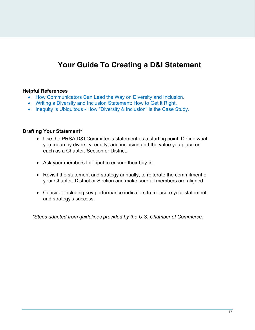### **Your Guide To Creating a D&I Statement**

### **Helpful References**

- [How Communicators Can Lead the Way on Diversity and Inclusion.](https://www.prnewsonline.com/diversity-inclusion-PRSA)
- [Writing a Diversity and Inclusion Statement: How to Get it Right.](https://www.uschamber.com/co/start/strategy/writing-diversity-and-inclusion-statement)
- [Inequity is Ubiquitous How "Diversity & Inclusion" is the Case Study.](https://www.tidalequality.com/blog/opinion-inequity-is-ubiquitous)

### **Drafting Your Statement\***

- Use the PRSA D&I Committee's statement as a starting point. Define what you mean by diversity, equity, and inclusion and the value you place on each as a Chapter, Section or District.
- Ask your members for input to ensure their buy-in.
- Revisit the statement and strategy annually, to reiterate the commitment of your Chapter, District or Section and make sure all members are aligned.
- Consider including key performance indicators to measure your statement and strategy's success.

*\*Steps adapted from guidelines provided by the U.S. Chamber of Commerce.*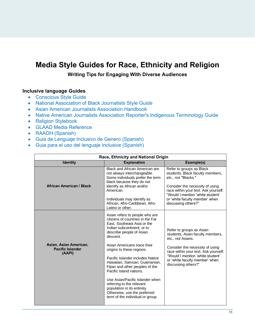### **Media Style Guides for Race, Ethnicity and Religion**

**Writing Tips for Engaging With Diverse Audiences**

### **Inclusive language Guides**

- [Conscious Style Guide](https://consciousstyleguide.com/)
- [National Association of Black Journalists Style Guide](https://www.nabj.org/page/styleguide)
- [Asian American Journalists Association Handbook](https://www.aaja.org/news-and-resources/guidances/guidance/)
- [Native American Journalists Association Reporter's Indigenous Terminology Guide](https://najanewsroom.com/ap-style-insert/)
- [Religion Stylebook](http://religionstylebook.com/)
- [GLAAD Media Reference](https://www.glaad.org/sites/default/files/GLAAD-Media-Reference-Guide-Tenth-Edition.pdf)
- [RAADH \(Spanish\)](http://www.ippdh.mercosur.int/wp-content/uploads/2018/11/IPPDH-MERCOSUR-RAADH-Manual-Lenguaje-no-sexista.pdf)
- [Guia de Lenguaje Inclusivo de Genero \(Spanish\)](Guia de Lenguaje Inclusivo de Genero (Spanish))
- [Guia para el uso del lenguaje inclusive \(Spanish\)](http://www.codajic.org/sites/www.codajic.org/files/Guia_Uso-Lenguaje-Inclusivo_0.pdf)

| Race, Ethnicity and National Origin                         |                                                                                                                                                                                                                                                                                                                                                                                                                                                                                                                                          |                                                                                                                                                                                                                                                             |  |  |
|-------------------------------------------------------------|------------------------------------------------------------------------------------------------------------------------------------------------------------------------------------------------------------------------------------------------------------------------------------------------------------------------------------------------------------------------------------------------------------------------------------------------------------------------------------------------------------------------------------------|-------------------------------------------------------------------------------------------------------------------------------------------------------------------------------------------------------------------------------------------------------------|--|--|
| <b>Identity</b>                                             | <b>Explanation</b>                                                                                                                                                                                                                                                                                                                                                                                                                                                                                                                       | Example(s)                                                                                                                                                                                                                                                  |  |  |
| <b>African American / Black</b>                             | <b>Black and African American are</b><br>not always interchangeable.<br>Some individuals prefer the term<br>black because they do not<br>identify as African and/or<br>American.<br>Individuals may identify as<br>African, Afro-Caribbean, Afro-<br>Latino or other.                                                                                                                                                                                                                                                                    | Refer to groups as Black<br>students, Black faculty members,<br>etc., not "Blacks."<br>Consider the necessity of using<br>race within your text. Ask yourself:<br>"Would I mention 'white student'<br>or 'white faculty member' when<br>discussing others?" |  |  |
| Asian, Asian American,<br><b>Pacific Islander</b><br>(AAPI) | Asian refers to people who are<br>citizens of countries in the Far<br>East, Southeast Asia or the<br>Indian subcontinent, or to<br>describe people of Asian<br>descent.<br>Asian Americans trace their<br>origins to these regions.<br>Pacific Islander includes Native<br>Hawaiian, Samoan, Guamanian,<br>Fijian and other peoples of the<br>Pacific Island nations.<br>Use Asian/Pacific Islander when<br>referring to the relevant<br>population in its entirety.<br>Otherwise, use the preferred<br>term of the individual or group. | Refer to groups as Asian<br>students, Asian faculty members,<br>etc., not Asians.<br>Consider the necessity of using<br>race within your text. Ask yourself:<br>"Would I mention 'white student'<br>or 'white faculty member' when<br>discussing others?"   |  |  |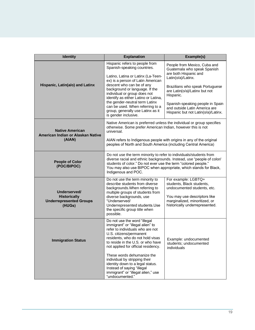| <b>Identity</b>                                                                 | <b>Explanation</b>                                                                                                                                                                                                                                                                                             | Example(s)                                                                                                                                                                         |  |  |
|---------------------------------------------------------------------------------|----------------------------------------------------------------------------------------------------------------------------------------------------------------------------------------------------------------------------------------------------------------------------------------------------------------|------------------------------------------------------------------------------------------------------------------------------------------------------------------------------------|--|--|
|                                                                                 | Hispanic refers to people from<br>Spanish-speaking countries.<br>Latino, Latina or Latinx (La-Teen-                                                                                                                                                                                                            | People from Mexico, Cuba and<br>Guatemala who speak Spanish<br>are both Hispanic and                                                                                               |  |  |
| Hispanic, Latin(a/o) and Latinx                                                 | ex) is a person of Latin American<br>descent who can be of any<br>background or language. If the<br>individual or group does not<br>identify as either Latino or Latina,<br>the gender-neutral term Latinx<br>can be used. When referring to a                                                                 | Latin(o/a)/Latinx.<br>Brazilians who speak Portuguese<br>are Latin(o/a)/Latinx but not<br>Hispanic.<br>Spanish-speaking people in Spain<br>and outside Latin America are           |  |  |
|                                                                                 | group, generally use Latinx as it<br>is gender inclusive.                                                                                                                                                                                                                                                      | Hispanic but not Latin(o/a)/Latinx.                                                                                                                                                |  |  |
| <b>Native American</b><br>American Indian or Alaskan Native                     | Native American is preferred unless the individual or group specifies<br>otherwise. Some prefer American Indian, however this is not<br>universal.                                                                                                                                                             |                                                                                                                                                                                    |  |  |
| (AIAN)                                                                          | AIAN refers to Indigenous people with origins in any of the original<br>peoples of North and South America (including Central America)                                                                                                                                                                         |                                                                                                                                                                                    |  |  |
| <b>People of Color</b><br>(POC/BIPOC)                                           | Do not use the term minority to refer to individuals/students from<br>diverse racial and ethnic backgrounds. Instead, use "people of color/<br>students of color." Do not ever use the term "colored people."<br>You may also use BIPOC when appropriate, which stands for Black,<br>Indigenous and POC.       |                                                                                                                                                                                    |  |  |
| Underserved/<br><b>Historically</b><br><b>Underrepresented Groups</b><br>(HUGs) | Do not use the term minority to<br>describe students from diverse<br>backgrounds. When referring to<br>multiple groups of students from<br>diverse backgrounds, use<br>"Underserved/<br>Underrepresented students.Use<br>the specific group title when<br>possible.                                            | For example: LGBTQ+<br>students, Black students,<br>undocumented students, etc.<br>You may use descriptors like<br>marginalized, minoritized, or<br>historically underrepresented. |  |  |
| <b>Immigration Status</b>                                                       | Do not use the word "illegal<br>immigrant" or "illegal alien" to<br>refer to individuals who are not<br>U.S. citizens/permanent<br>residents, who do not hold visas<br>to reside in the U.S. or who have<br>not applied for official residency.<br>These words dehumanize the<br>individual by stripping their | Example: undocumented<br>students; undocumented<br>individuals                                                                                                                     |  |  |
|                                                                                 | identity down to a legal status.<br>Instead of saying "illegal<br>immigrant" or "illegal alien," use<br>"undocumented."                                                                                                                                                                                        |                                                                                                                                                                                    |  |  |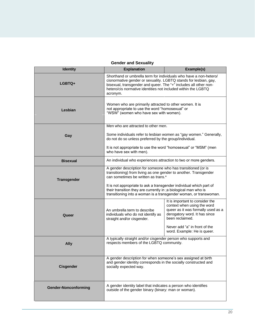### **Gender and Sexuality**

| <b>Identity</b>             | <b>Explanation</b>                                                                                                                                                                                                                                                                     | Example(s)                                                                                                                                               |  |
|-----------------------------|----------------------------------------------------------------------------------------------------------------------------------------------------------------------------------------------------------------------------------------------------------------------------------------|----------------------------------------------------------------------------------------------------------------------------------------------------------|--|
| LGBTQ+                      | Shorthand or umbrella term for individuals who have a non-hetero/<br>cisnormative gender or sexuality. LGBTQ stands for lesbian, gay,<br>bisexual, transgender and queer. The "+" includes all other non-<br>hetero/cis normative identities not included within the LGBTQ<br>acronym. |                                                                                                                                                          |  |
| Lesbian                     | Women who are primarily attracted to other women. It is<br>not appropriate to use the word "homosexual" or<br>"WSW" (women who have sex with women).                                                                                                                                   |                                                                                                                                                          |  |
|                             | Men who are attracted to other men.                                                                                                                                                                                                                                                    |                                                                                                                                                          |  |
| Gay                         | Some individuals refer to lesbian women as "gay women." Generally,<br>do not do so unless preferred by the group/individual.                                                                                                                                                           |                                                                                                                                                          |  |
|                             | It is not appropriate to use the word "homosexual" or "MSM" (men<br>who have sex with men).                                                                                                                                                                                            |                                                                                                                                                          |  |
| <b>Bisexual</b>             | An individual who experiences attraction to two or more genders.                                                                                                                                                                                                                       |                                                                                                                                                          |  |
| <b>Transgender</b>          | A gender description for someone who has transitioned (or is<br>transitioning) from living as one gender to another. Transgender<br>can sometimes be written as trans.*<br>It is not appropriate to ask a transgender individual which part of                                         |                                                                                                                                                          |  |
|                             | their transition they are currently in ; a biological man who is<br>transitioning into a woman is a transgender woman, or transwoman.                                                                                                                                                  |                                                                                                                                                          |  |
| Queer                       | An umbrella term to describe<br>individuals who do not identify as<br>straight and/or cisgender.                                                                                                                                                                                       | It is important to consider the<br>context when using the word<br>queer as it was formally used as a<br>derogatory word. It has since<br>been reclaimed. |  |
|                             |                                                                                                                                                                                                                                                                                        | Never add "a" in front of the<br>word. Example: He is queer.                                                                                             |  |
| <b>Ally</b>                 | A typically straight and/or cisgender person who supports and<br>respects members of the LGBTQ community.                                                                                                                                                                              |                                                                                                                                                          |  |
| <b>Cisgender</b>            | A gender description for when someone's sex assigned at birth<br>and gender identity corresponds in the socially constructed and<br>socially expected way.                                                                                                                             |                                                                                                                                                          |  |
| <b>Gender-Nonconforming</b> | A gender identity label that indicates a person who identifies<br>outside of the gender binary (binary: man or woman).                                                                                                                                                                 |                                                                                                                                                          |  |